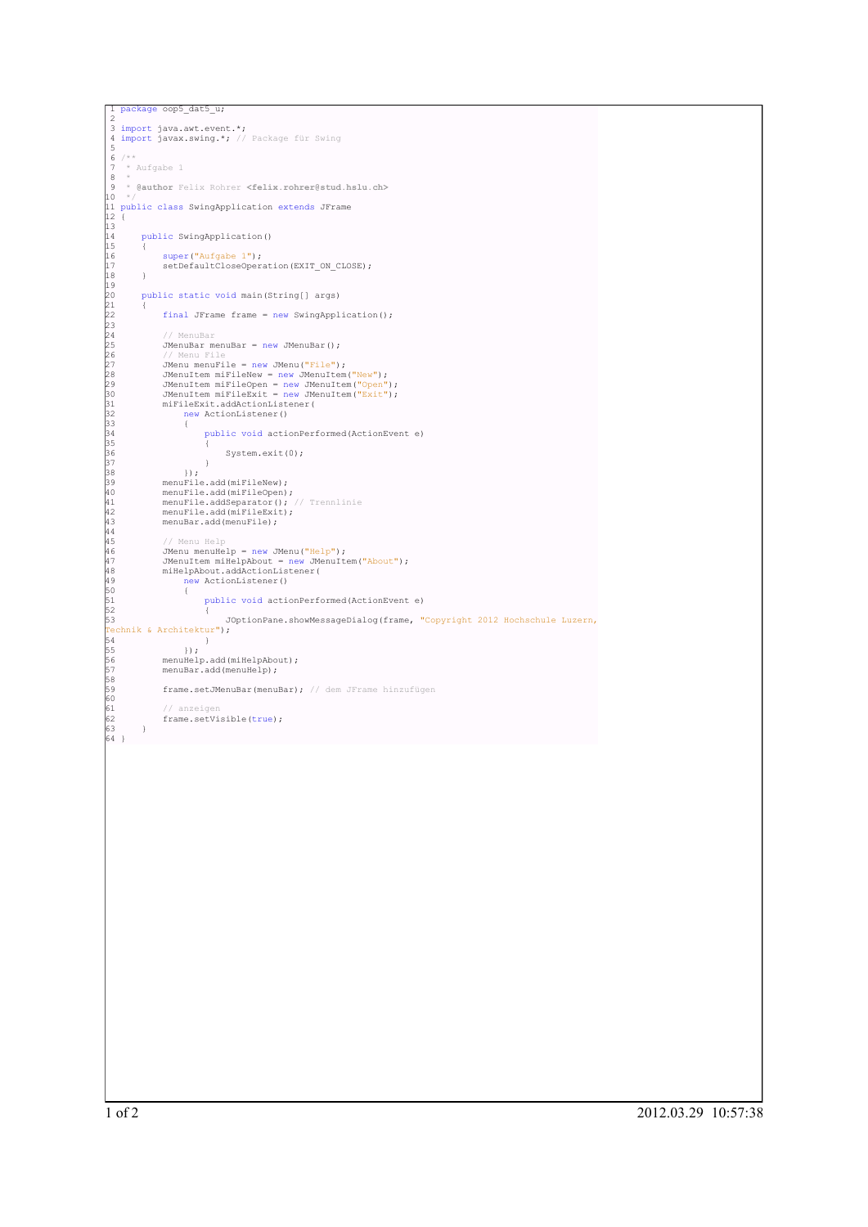```
package oop5_dat5_u;
 2
3 import java.awt.event.*;
4 import javax.swing.*; // Package für Swing
5
6 /**
7 * Aufgabe 1
8 *
9 * @author Felix Rohrer <felix.rohrer@stud.hslu.ch>
10 */
11 public class SwingApplication extends JFrame
12 {
13
        public SwingApplication()
15 {
16 super("Aufgabe 1");
17 setDefaultCloseOperation(EXIT_ON_CLOSE);
18 }
19
        public static void main(String[] args)
21 {
              final JFrame frame = new SwingApplication();
23
               // MenuBar
             JMenuBar menuBar = new JMenuBar();
% // Menu File = new JMenu ("File");<br>
27 Menu menuFile = new JMenuTem ("New");<br>
28 JMenuItem miFileNew = new JMenuItem ("New");<br>
29 JMenuItem miFileSpen = new JMenuItem ("Spen");<br>
30 JMenuItem miFileSpen = new JMenuItem ("
                        public void actionPerformed(ActionEvent e)
35 {
                       System.exit(0);
37 }
                  \rightarrow);
              menuFile.add(miFileNew);
              menuFile.add(miFileOpen);
41 menuFile.addSeparator(); // Trennlinie
42 menuFile.add(miFileExit);
              menuBar.add(menuFile);
44
                 45 // Menu Help
              JMenu menuHelp = new JMenu("Help");
47 JMenuItem miHelpAbout = new JMenuItem("About");
48 miHelpAbout.addActionListener(
                   exprisont:diddictionlist<br>new ActionListener()
50 {
51 public void actionPerformed(ActionEvent e)<br>52 {
52 {
                             53 JOptionPane.showMessageDialog(frame, "Copyright 2012 Hochschule Luzern,
Technik & Architektur");
54 }
55 });
56 menuHelp.add(miHelpAbout);
%<br>55 \};<br>56 menuBar.add(miHelpAbo<br>57 menuBar.add(menuHelp);
58<br>58<br>59
             frame.setJMenuBar(menuBar); // dem JFrame hinzufügen
-<br>60<br>61
              // anzeigen
        frame.setVisible(true);
63 }
64 }
```